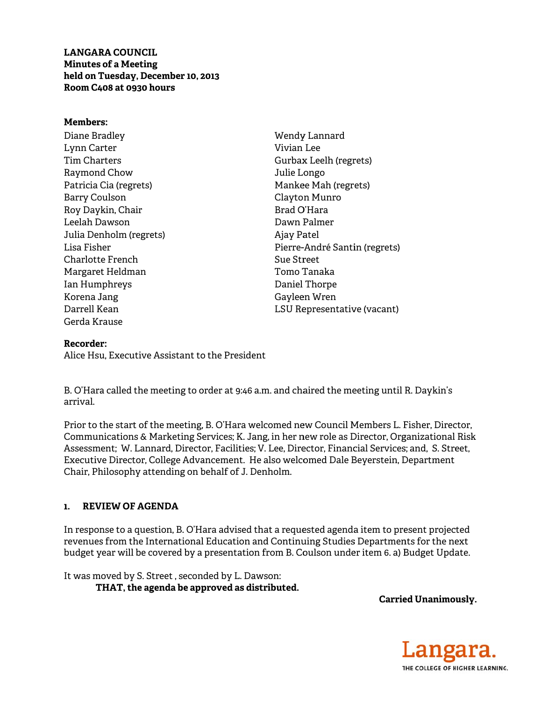**LANGARA COUNCIL Minutes of a Meeting** held on Tuesday, December 10, 2013 Room C408 at 0930 hours

### **Members:**

Diane Bradley Lynn Carter **Tim Charters** Raymond Chow Patricia Cia (regrets) **Barry Coulson** Roy Daykin, Chair Leelah Dawson Julia Denholm (regrets) Lisa Fisher Charlotte French Margaret Heldman Ian Humphreys Korena Jang Darrell Kean Gerda Krause

Wendy Lannard Vivian Lee Gurbax Leelh (regrets) Julie Longo Mankee Mah (regrets) Clayton Munro Brad O'Hara Dawn Palmer Ajay Patel Pierre-André Santin (regrets) Sue Street Tomo Tanaka Daniel Thorpe Gayleen Wren LSU Representative (vacant)

### Recorder:

Alice Hsu. Executive Assistant to the President

B. O'Hara called the meeting to order at 9:46 a.m. and chaired the meeting until R. Daykin's arrival

Prior to the start of the meeting, B. O'Hara welcomed new Council Members L. Fisher, Director, Communications & Marketing Services; K. Jang, in her new role as Director, Organizational Risk Assessment; W. Lannard, Director, Facilities; V. Lee, Director, Financial Services; and, S. Street, Executive Director, College Advancement. He also welcomed Dale Beyerstein, Department Chair, Philosophy attending on behalf of J. Denholm.

#### **REVIEW OF AGENDA**  $\mathbf{1}$

In response to a question, B. O'Hara advised that a requested agenda item to present projected revenues from the International Education and Continuing Studies Departments for the next budget year will be covered by a presentation from B. Coulson under item 6. a) Budget Update.

It was moved by S. Street, seconded by L. Dawson: THAT, the agenda be approved as distributed.

**Carried Unanimously.** 

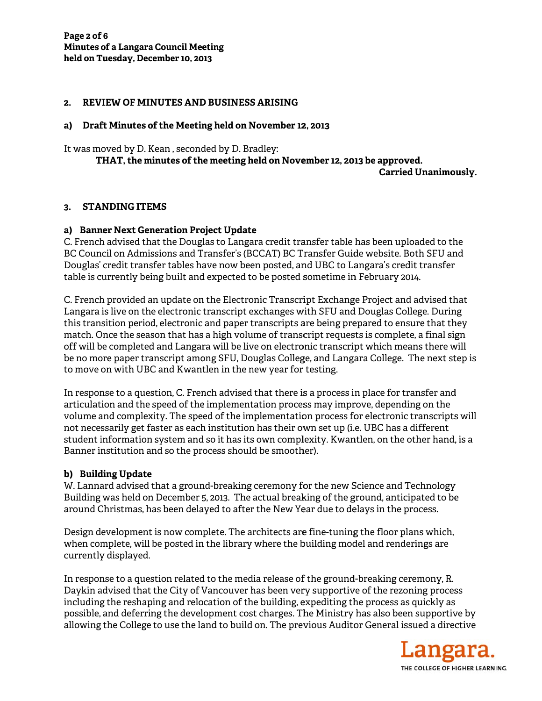### 2. REVIEW OF MINUTES AND BUSINESS ARISING

### a) Draft Minutes of the Meeting held on November 12, 2013

It was moved by D. Kean , seconded by D. Bradley: <code>THAT,</code> the minutes of the meeting held on November 12, 2013 be approved.

**Carrie ed Unanimo usly.** 

## **3. STA ANDING ITE EMS**

### a) Banner Next Generation Project Update

C. French advised that the Douglas to Langara credit transfer table has been uploaded to the BC Council on Admissions and Transfer's (BCCAT) BC Transfer Guide website. Both SFU and Douglas' credit transfer tables have now been posted, and UBC to Langara's credit transfer table is currently being built and expected to be posted sometime in February 2014.

C. French provided an update on the Electronic Transcript Exchange Project and advised that Langara is live on the electronic transcript exchanges with SFU and Douglas College. During this transition period, electronic and paper transcripts are being prepared to ensure that they match. Once the season that has a high volume of transcript requests is complete, a final sign off will be completed and Langara will be live on electronic transcript which means there will be no more paper transcript among SFU, Douglas College, and Langara College. The next step is to move on with UBC C and Kwan tlen in the n new year for testing.

In response to a question, C. French advised that there is a process in place for transfer and articulat ion and the speed of the e implement tation proces ss may impr rove, depend ding on the In response to a question, C. French advised that there is a process in place for transfer and<br>articulation and the speed of the implementation process may improve, depending on the<br>volume and complexity. The speed of the not necessarily get faster as each institution has their own set up (i.e. UBC has a different student information system and so it has its own complexity. Kwantlen, on the other hand, is a Banner institution and so the process should be smoother).

## **b) Build ding Update**

W. Lannard advised that a ground-breaking ceremony for the new Science and Technology Building was held on December 5, 2013. The actual breaking of the ground, anticipated to be around Christmas, has been delayed to after the New Year due to delays in the process. y<br>be<br>,<br>,<br>.<br>.

Design development is now complete. The architects are fine-tuning the floor plans which, when complete, will be posted in the library where the building model and renderings are currently y displayed.

In response to a question related to the media release of the ground-breaking ceremony, R. Daykin advised that the City of Vancouver has been very supportive of the rezoning proces including the reshaping and relocation of the building, expediting the process as quickly as possible, and deferring the development cost charges. The Ministry has also been supportive by allowing the College to use the land to build on. The previous Auditor General issued a directive

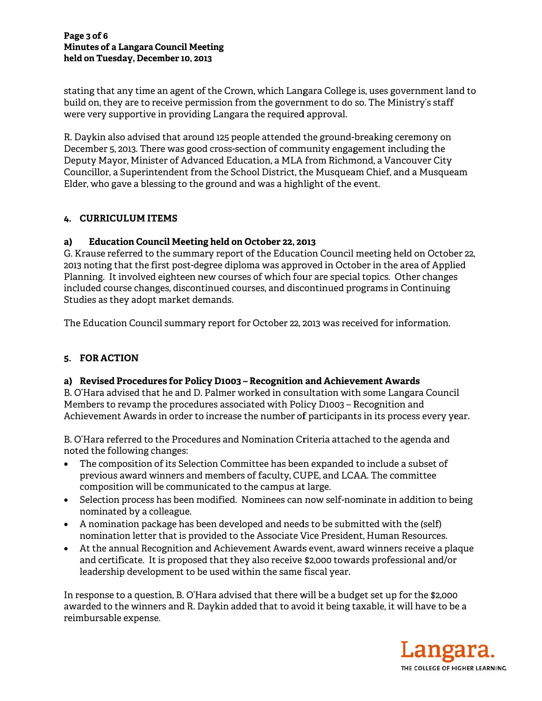stating that any time an agent of the Crown, which Langara College is, uses government land to build on, they are to receive permission from the government to do so. The Ministry's staff were very supportive in providing Langara the required approval.

R. Daykin also advised that around 125 people attended the ground-breaking ceremony on December 5, 2013. There was good cross-section of community engagement including the Deputy Mayor, Minister of Advanced Education, a MLA from Richmond, a Vancouver City Councillor, a Superintendent from the School District, the Musqueam Chief, and a Musqueam Elder, who gave a blessing to the ground and was a highlight of the event.

# 4. CURRICULUM ITEMS

#### **Education Council Meeting held on October 22, 2013** a)

G. Krause referred to the summary report of the Education Council meeting held on October 22, 2013 noting that the first post-degree diploma was approved in October in the area of Applied Planning. It involved eighteen new courses of which four are special topics. Other changes included course changes, discontinued courses, and discontinued programs in Continuing Studies as they adopt market demands.

The Education Council summary report for October 22, 2013 was received for information.

# 5. FOR ACTION

## a) Revised Procedures for Policy D1003 - Recognition and Achievement Awards

B. O'Hara advised that he and D. Palmer worked in consultation with some Langara Council Members to revamp the procedures associated with Policy D1003 - Recognition and Achievement Awards in order to increase the number of participants in its process every year.

B. O'Hara referred to the Procedures and Nomination Criteria attached to the agenda and noted the following changes:

- The composition of its Selection Committee has been expanded to include a subset of  $\bullet$ previous award winners and members of faculty, CUPE, and LCAA. The committee composition will be communicated to the campus at large.
- Selection process has been modified. Nominees can now self-nominate in addition to being nominated by a colleague.
- A nomination package has been developed and needs to be submitted with the (self) nomination letter that is provided to the Associate Vice President, Human Resources.
- At the annual Recognition and Achievement Awards event, award winners receive a plaque and certificate. It is proposed that they also receive \$2,000 towards professional and/or leadership development to be used within the same fiscal year.

In response to a question, B. O'Hara advised that there will be a budget set up for the \$2,000 awarded to the winners and R. Daykin added that to avoid it being taxable, it will have to be a reimbursable expense.

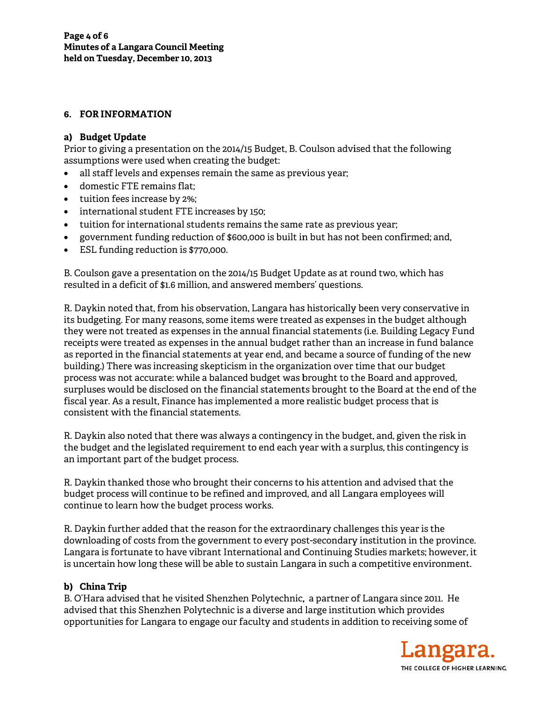# 6. FOR INFORMATION

## a) Budget Update

Prior to giving a presentation on the 2014/15 Budget, B. Coulson advised that the following assumptions were used when creating the budget:

- all staff levels and expenses remain the same as previous year;  $\bullet$
- domestic FTE remains flat;
- tuition fees increase by 2%;
- international student FTE increases by 150;
- tuition for international students remains the same rate as previous year;
- government funding reduction of \$600,000 is built in but has not been confirmed; and,
- ESL funding reduction is \$770,000.

B. Coulson gave a presentation on the 2014/15 Budget Update as at round two, which has resulted in a deficit of \$1.6 million, and answered members' questions.

R. Daykin noted that, from his observation, Langara has historically been very conservative in its budgeting. For many reasons, some items were treated as expenses in the budget although they were not treated as expenses in the annual financial statements (i.e. Building Legacy Fund receipts were treated as expenses in the annual budget rather than an increase in fund balance as reported in the financial statements at year end, and became a source of funding of the new building.) There was increasing skepticism in the organization over time that our budget process was not accurate: while a balanced budget was brought to the Board and approved, surpluses would be disclosed on the financial statements brought to the Board at the end of the fiscal year. As a result, Finance has implemented a more realistic budget process that is consistent with the financial statements

R. Daykin also noted that there was always a contingency in the budget, and, given the risk in the budget and the legislated requirement to end each year with a surplus, this contingency is an important part of the budget process.

R. Daykin thanked those who brought their concerns to his attention and advised that the budget process will continue to be refined and improved, and all Langara employees will continue to learn how the budget process works.

R. Daykin further added that the reason for the extraordinary challenges this year is the downloading of costs from the government to every post-secondary institution in the province. Langara is fortunate to have vibrant International and Continuing Studies markets; however, it is uncertain how long these will be able to sustain Langara in such a competitive environment.

# b) China Trip

B. O'Hara advised that he visited Shenzhen Polytechnic, a partner of Langara since 2011. He advised that this Shenzhen Polytechnic is a diverse and large institution which provides opportunities for Langara to engage our faculty and students in addition to receiving some of

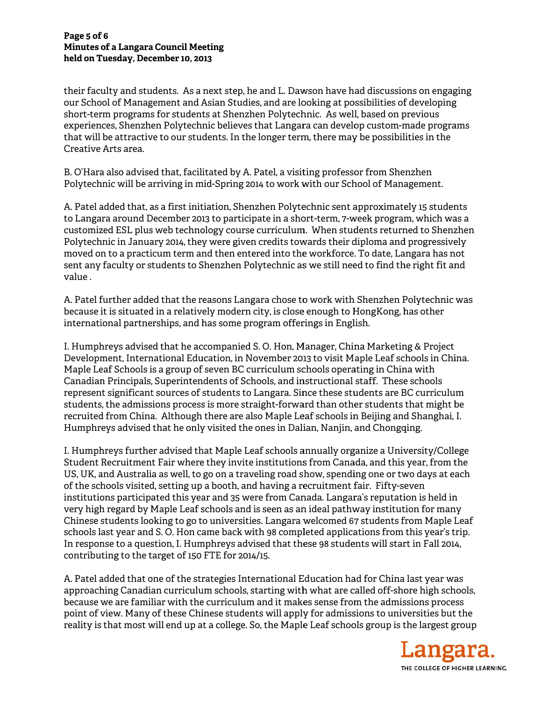### **Page 5 of f 6 Minutes o of a Langara a Council Mee eting held on T Tuesday, Dec cember 10, 20 013**

their faculty and students. As a next step, he and L. Dawson have had discussions on engaging our School of Management and Asian Studies, and are looking at possibilities of developing short-term programs for students at Shenzhen Polytechnic. As well, based on previous our School of Management and Asian Studies, and are looking at possibilities of developing<br>short-term programs for students at Shenzhen Polytechnic. As well, based on previous<br>experiences, Shenzhen Polytechnic believes th that will be attractive to our students. In the longer term, there may be possibilities in the Creative Arts area.

B. O'Hara also advised that, facilitated by A. Patel, a visiting professor from Shenzhen Polytechnic will be arriving in mid-Spring 2014 to work with our School of Management.

A. Patel added that, as a first initiation, Shenzhen Polytechnic sent approximately 15 students to Langara around December 2013 to participate in a short-term, 7-week program, which was a customized ESL plus web technology course curriculum. When students returned to Shenzhen Polytechnic in January 2014, they were given credits towards their diploma and progressively moved on to a practicum term and then entered into the workforce. To date, Langara has not sent any faculty or students to Shenzhen Polytechnic as we still need to find the right fit and value .

A. Patel further added that the reasons Langara chose to work with Shenzhen Polytechnic was because it is situated in a relatively modern city, is close enough to HongKong, has other international partnerships, and has some program offerings in English.

I. Humphreys advised that he accompanied S. O. Hon, Manager, China Marketing & Project Development, International Education, in November 2013 to visit Maple Leaf schools in China. Maple Leaf Schools is a group of seven BC curriculum schools operating in China with Canadian Principals, Superintendents of Schools, and instructional staff. These schools represent significant sources of students to Langara. Since these students are BC curriculum students, the admissions process is more straight-forward than other students that might be recruited from China. Although there are also Maple Leaf schools in Beijing and Shanghai, I. Humphreys advised that he only visited the ones in Dalian, Nanjin, and Chongqing.

I. Humphreys further advised that Maple Leaf schools annually organize a University/College Student Recruitment Fair where they invite institutions from Canada, and this year, from the US, UK, and Australia as well, to go on a traveling road show, spending one or two days at each of the schools visited, setting up a booth, and having a recruitment fair. Fifty-seven institutions participated this year and 35 were from Canada. Langara's reputation is held in institutions participated this year and 35 were from Canada. Langara's reputation is held in<br>very high regard by Maple Leaf schools and is seen as an ideal pathway institution for many Chinese students looking to go to universities. Langara welcomed 67 students from Maple Leaf schools last year and S. O. Hon came back with 98 completed applications from this year's trip. In response to a question, I. Humphreys advised that these 98 students will start in Fall 2014, contributing to the target of 150 FTE for 2014/15.

A. Patel added that one of the strategies International Education had for China last year was approaching Canadian curriculum schools, starting with what are called off-shore high schools, because we are familiar with the curriculum and it makes sense from the admissions process point of view. Many of these Chinese students will apply for admissions to universities but the reality is that most will end up at a college. So, the Maple Leaf schools group is the largest group